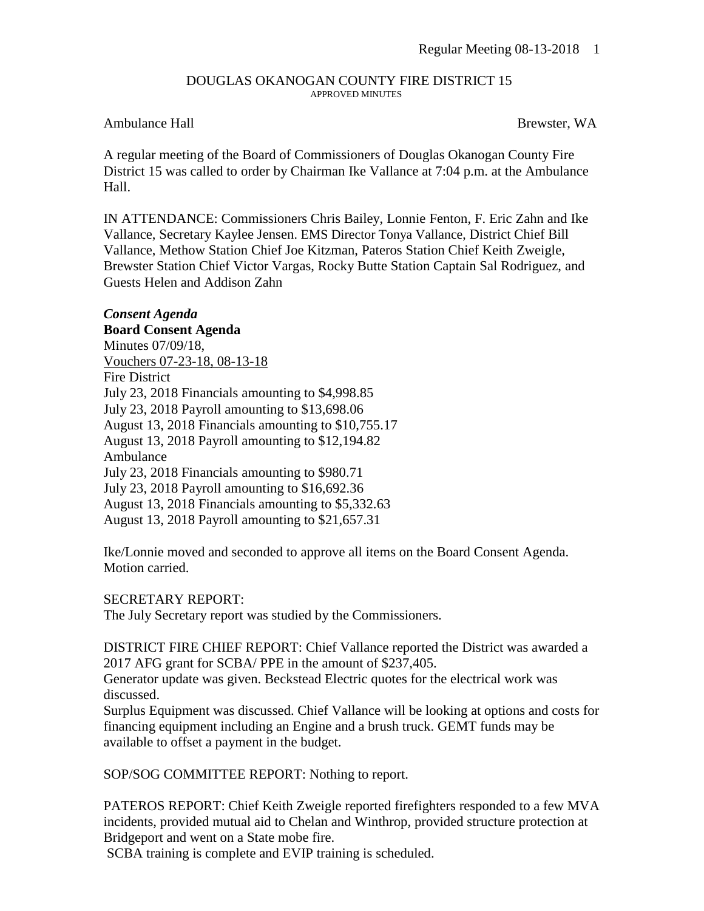### DOUGLAS OKANOGAN COUNTY FIRE DISTRICT 15 APPROVED MINUTES

## Ambulance Hall **Brewster, WA**

A regular meeting of the Board of Commissioners of Douglas Okanogan County Fire District 15 was called to order by Chairman Ike Vallance at 7:04 p.m. at the Ambulance Hall.

IN ATTENDANCE: Commissioners Chris Bailey, Lonnie Fenton, F. Eric Zahn and Ike Vallance, Secretary Kaylee Jensen. EMS Director Tonya Vallance, District Chief Bill Vallance, Methow Station Chief Joe Kitzman, Pateros Station Chief Keith Zweigle, Brewster Station Chief Victor Vargas, Rocky Butte Station Captain Sal Rodriguez, and Guests Helen and Addison Zahn

## *Consent Agenda*

## **Board Consent Agenda**

Minutes 07/09/18, Vouchers 07-23-18, 08-13-18 Fire District July 23, 2018 Financials amounting to \$4,998.85 July 23, 2018 Payroll amounting to \$13,698.06 August 13, 2018 Financials amounting to \$10,755.17 August 13, 2018 Payroll amounting to \$12,194.82 Ambulance July 23, 2018 Financials amounting to \$980.71 July 23, 2018 Payroll amounting to \$16,692.36 August 13, 2018 Financials amounting to \$5,332.63 August 13, 2018 Payroll amounting to \$21,657.31

Ike/Lonnie moved and seconded to approve all items on the Board Consent Agenda. Motion carried.

### SECRETARY REPORT:

The July Secretary report was studied by the Commissioners.

DISTRICT FIRE CHIEF REPORT: Chief Vallance reported the District was awarded a 2017 AFG grant for SCBA/ PPE in the amount of \$237,405.

Generator update was given. Beckstead Electric quotes for the electrical work was discussed.

Surplus Equipment was discussed. Chief Vallance will be looking at options and costs for financing equipment including an Engine and a brush truck. GEMT funds may be available to offset a payment in the budget.

SOP/SOG COMMITTEE REPORT: Nothing to report.

PATEROS REPORT: Chief Keith Zweigle reported firefighters responded to a few MVA incidents, provided mutual aid to Chelan and Winthrop, provided structure protection at Bridgeport and went on a State mobe fire.

SCBA training is complete and EVIP training is scheduled.